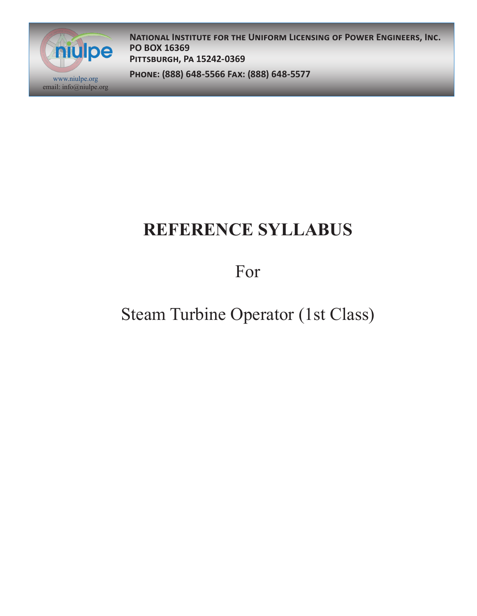

**National Institute for the Uniform Licensing of Power Engineers, Inc. PO BOX 16369 Pittsburgh, Pa 15242-0369**

**Phone: (888) 648-5566 Fax: (888) 648-5577** www.niulpe.org

# **REFERENCE SYLLABUS**

### For

## Steam Turbine Operator (1st Class)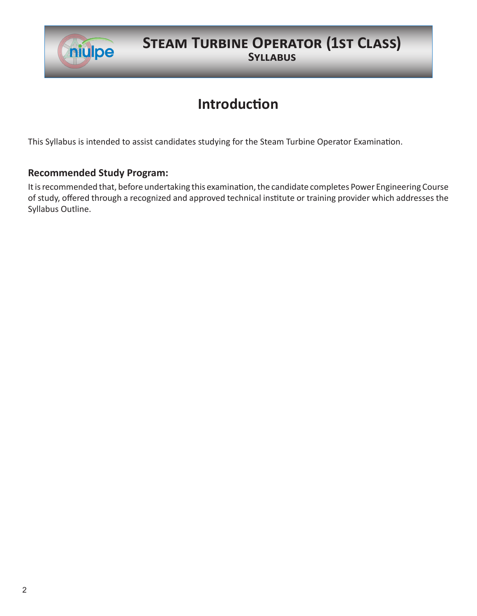

#### **STEAM TURBINE OPERATOR (1ST CLASS) Syllabus**

### **Introduction**

This Syllabus is intended to assist candidates studying for the Steam Turbine Operator Examination.

#### **Recommended Study Program:**

It is recommended that, before undertaking this examination, the candidate completes Power Engineering Course of study, offered through a recognized and approved technical institute or training provider which addresses the Syllabus Outline.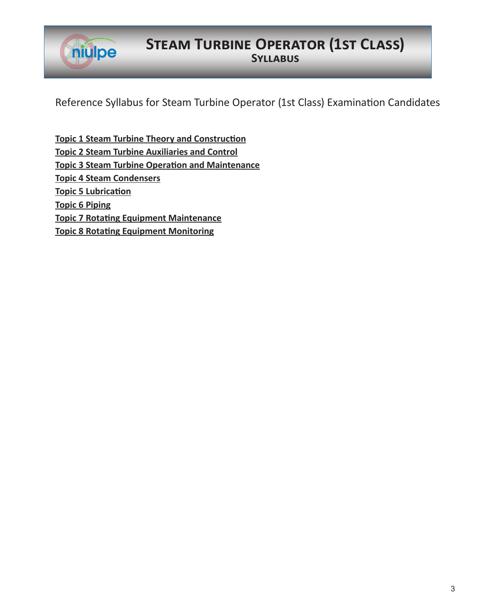

### **Steam Turbine Operator (1st Class) Syllabus**

Reference Syllabus for Steam Turbine Operator (1st Class) Examination Candidates

**Topic 1 Steam Turbine Theory and Construction Topic 2 Steam Turbine Auxiliaries and Control Topic 3 Steam Turbine Operation and Maintenance Topic 4 Steam Condensers Topic 5 Lubrication Topic 6 Piping Topic 7 Rotating Equipment Maintenance Topic 8 Rotating Equipment Monitoring**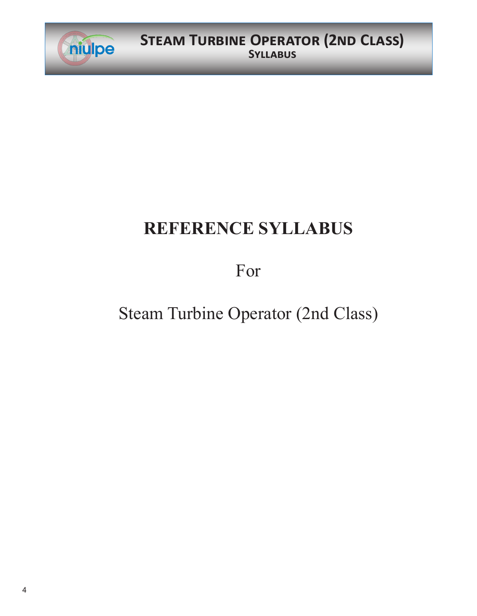

# **REFERENCE SYLLABUS**

## For

# Steam Turbine Operator (2nd Class)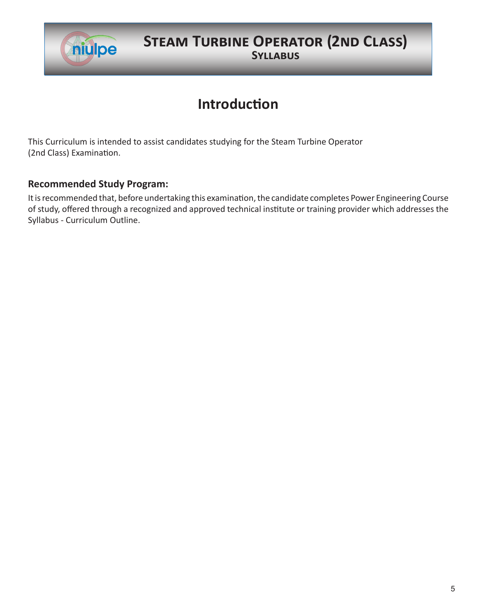

### **STEAM TURBINE OPERATOR (2ND CLASS) Syllabus**

### **Introduction**

This Curriculum is intended to assist candidates studying for the Steam Turbine Operator (2nd Class) Examination.

#### **Recommended Study Program:**

It is recommended that, before undertaking this examination, the candidate completes Power Engineering Course of study, offered through a recognized and approved technical institute or training provider which addresses the Syllabus - Curriculum Outline.